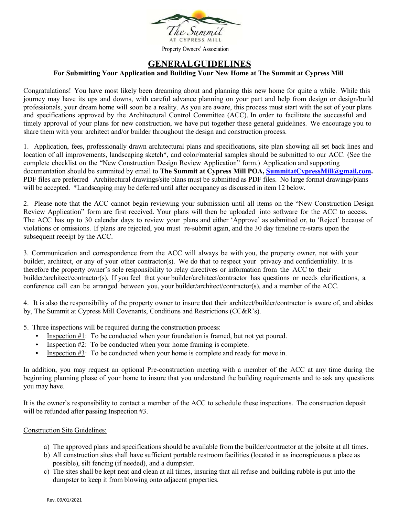

## **GENERAL GUIDELINES**

### **For Submitting Your Application and Building Your New Home at The Summit at Cypress Mill**

Congratulations! You have most likely been dreaming about and planning this new home for quite a while. While this journey may have its ups and downs, with careful advance planning on your part and help from design or design/build professionals, your dream home will soon be a reality. As you are aware, this process must start with the set of your plans and specifications approved by the Architectural Control Committee (ACC). In order to facilitate the successful and timely approval of your plans for new construction, we have put together these general guidelines. We encourage you to share them with your architect and/or builder throughout the design and construction process.

1. Application, fees, professionally drawn architectural plans and specifications, site plan showing all set back lines and location of all improvements, landscaping sketch\*, and color/material samples should be submitted to our ACC. (See the complete checklist on the "New Construction Design Review Application" form.) Application and supporting documentation should be summited by email to The Summit at Cypress Mill POA, **SummitatCypressMill@gmail.com.** PDF files are preferred Architectural drawings/site plans must be submitted as PDF files. No large format drawings/plans will be accepted. \*Landscaping may be deferred until after occupancy as discussed in item 12 below.

2. Please note that the ACC cannot begin reviewing your submission until all items on the "New Construction Design Review Application" form are first received. Your plans will then be uploaded into software for the ACC to access. The ACC has up to 30 calendar days to review your plans and either 'Approve' as submitted or, to 'Reject' because of violations or omissions. If plans are rejected, you must re-submit again, and the 30 day timeline re-starts upon the subsequent receipt by the ACC.

3. Communication and correspondence from the ACC will always be with you, the property owner, not with your builder, architect, or any of your other contractor(s). We do that to respect your privacy and confidentiality. It is therefore the property owner's sole responsibility to relay directives or information from the ACC to their builder/architect/contractor(s). If you feel that your builder/architect/contractor has questions or needs clarifications, a conference call can be arranged between you, your builder/architect/contractor(s), and a member of the ACC.

4. It is also the responsibility of the property owner to insure that their architect/builder/contractor is aware of, and abides by, The Summit at Cypress Mill Covenants, Conditions and Restrictions (CC&R's).

5. Three inspections will be required during the construction process:

- Inspection  $#1$ : To be conducted when your foundation is framed, but not yet poured.
- Inspection #2: To be conducted when your home framing is complete.
- Inspection #3: To be conducted when your home is complete and ready for move in.

In addition, you may request an optional Pre-construction meeting with a member of the ACC at any time during the beginning planning phase of your home to insure that you understand the building requirements and to ask any questions you may have.

It is the owner's responsibility to contact a member of the ACC to schedule these inspections. The construction deposit will be refunded after passing Inspection #3.

#### Construction Site Guidelines:

- a) The approved plans and specifications should be available from the builder/contractor at the jobsite at all times.
- b) All construction sites shall have sufficient portable restroom facilities (located in as inconspicuous a place as possible), silt fencing (if needed), and a dumpster.
- c) The sites shall be kept neat and clean at all times, insuring that all refuse and building rubble is put into the dumpster to keep it from blowing onto adjacent properties.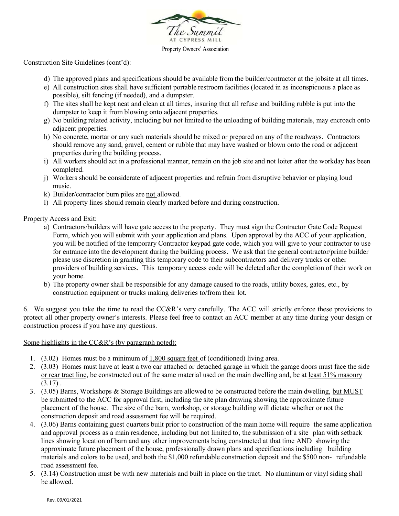

#### Property Owners' Association

### Construction Site Guidelines (cont'd):

- d) The approved plans and specifications should be available from the builder/contractor at the jobsite at all times.
- e) All construction sites shall have sufficient portable restroom facilities (located in as inconspicuous a place as possible), silt fencing (if needed), and a dumpster.
- f) The sites shall be kept neat and clean at all times, insuring that all refuse and building rubble is put into the dumpster to keep it from blowing onto adjacent properties.
- g) No building related activity, including but not limited to the unloading of building materials, may encroach onto adjacent properties.
- h) No concrete, mortar or any such materials should be mixed or prepared on any of the roadways. Contractors should remove any sand, gravel, cement or rubble that may have washed or blown onto the road or adjacent properties during the building process.
- i) All workers should act in a professional manner, remain on the job site and not loiter after the workday has been completed.
- j) Workers should be considerate of adjacent properties and refrain from disruptive behavior or playing loud music.
- k) Builder/contractor burn piles are not allowed.
- l) All property lines should remain clearly marked before and during construction.

### Property Access and Exit:

- a) Contractors/builders will have gate access to the property. They must sign the Contractor Gate Code Request Form, which you will submit with your application and plans. Upon approval by the ACC of your application, you will be notified of the temporary Contractor keypad gate code, which you will give to your contractor to use for entrance into the development during the building process. We ask that the general contractor/prime builder please use discretion in granting this temporary code to their subcontractors and delivery trucks or other providers of building services. This temporary access code will be deleted after the completion of their work on your home.
- b) The property owner shall be responsible for any damage caused to the roads, utility boxes, gates, etc., by construction equipment or trucks making deliveries to/from their lot.

6. We suggest you take the time to read the CC&R's very carefully. The ACC will strictly enforce these provisions to protect all other property owner's interests. Please feel free to contact an ACC member at any time during your design or construction process if you have any questions.

### Some highlights in the CC&R's (by paragraph noted):

- 1. (3.02) Homes must be a minimum of 1,800 square feet of (conditioned) living area.
- 2. (3.03) Homes must have at least a two car attached or detached garage in which the garage doors must face the side or rear tract line, be constructed out of the same material used on the main dwelling and, be at least 51% masonry  $(3.17)$ .
- 3. (3.05) Barns, Workshops & Storage Buildings are allowed to be constructed before the main dwelling, but MUST be submitted to the ACC for approval first, including the site plan drawing showing the approximate future placement of the house. The size of the barn, workshop, or storage building will dictate whether or not the construction deposit and road assessment fee will be required.
- 4. (3.06) Barns containing guest quarters built prior to construction of the main home will require the same application and approval process as a main residence, including but not limited to, the submission of a site plan with setback lines showing location of barn and any other improvements being constructed at that time AND showing the approximate future placement of the house, professionally drawn plans and specifications including building materials and colors to be used, and both the \$1,000 refundable construction deposit and the \$500 non- refundable road assessment fee.
- 5. (3.14) Construction must be with new materials and built in place on the tract. No aluminum or vinyl siding shall be allowed.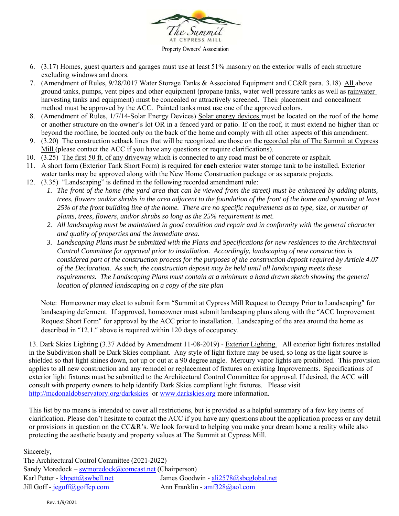

- 6. (3.17) Homes, guest quarters and garages must use at least 51% masonry on the exterior walls of each structure excluding windows and doors.
- 7. (Amendment of Rules, 9/28/2017 Water Storage Tanks & Associated Equipment and CC&R para. 3.18) All above ground tanks, pumps, vent pipes and other equipment (propane tanks, water well pressure tanks as well as rainwater harvesting tanks and equipment) must be concealed or attractively screened. Their placement and concealment method must be approved by the ACC. Painted tanks must use one of the approved colors.
- 8. (Amendment of Rules, 1/7/14-Solar Energy Devices) Solar energy devices must be located on the roof of the home or another structure on the owner's lot OR in a fenced yard or patio. If on the roof, it must extend no higher than or beyond the roofline, be located only on the back of the home and comply with all other aspects of this amendment.
- 9. (3.20) The construction setback lines that will be recognized are those on the recorded plat of The Summit at Cypress Mill (please contact the ACC if you have any questions or require clarifications).
- 10. (3.25) The first 50 ft. of any driveway which is connected to any road must be of concrete or asphalt.
- 11. A short form (Exterior Tank Short Form) is required for **each** exterior water storage tank to be installed. Exterior water tanks may be approved along with the New Home Construction package or as separate projects.
- 12. (3.35) "Landscaping" is defined in the following recorded amendment rule:
	- *1.* The front of the home (the yard area that can be viewed from the street) must be enhanced by adding plants, *trees, flowers and/or shrubs in the area adjacent to the foundation of the front of the home and spanning at least 25% of the front building line of the home. There are no specific requirements as to type, size, or number of plants, trees, flowers, and/or shrubs so long as the 25% requirement is met.*
	- *2. All landscaping must be maintained in good condition and repair and in conformity with the general character and quality of properties and the immediate area.*
	- *3. Landscaping Plans must be submitted with the Plans and Specifications for new residences to the Architectural Control Committee for approval prior to installation. Accordingly, landscaping of new construction is considered part of the construction process for the purposes of the construction deposit required by Article 4.07 of the Declaration. As such, the construction deposit may be held until all landscaping meets these requirements. The Landscaping Plans must contain at a minimum a hand drawn sketch showing the general location of planned landscaping on a copy of the site plan*

 Note: Homeowner may elect to submit form "Summit at Cypress Mill Request to Occupy Prior to Landscaping" for landscaping deferment. If approved, homeowner must submit landscaping plans along with the "ACC Improvement Request Short Form" for approval by the ACC prior to installation. Landscaping of the area around the home as described in "12.1." above is required within 120 days of occupancy.

13. Dark Skies Lighting (3.37 Added by Amendment 11-08-2019) - Exterior Lighting. All exterior light fixtures installed in the Subdivision shall be Dark Skies compliant. Any style of light fixture may be used, so long as the light source is shielded so that light shines down, not up or out at a 90 degree angle. Mercury vapor lights are prohibited. This provision applies to all new construction and any remodel or replacement of fixtures on existing Improvements. Specifications of exterior light fixtures must be submitted to the Architectural Control Committee for approval. If desired, the ACC will consult with property owners to help identify Dark Skies compliant light fixtures. Please visit http://mcdonaldobservatory.org/darkskies or www.darkskies.org more information.

This list by no means is intended to cover all restrictions, but is provided as a helpful summary of a few key items of clarification. Please don't hesitate to contact the ACC if you have any questions about the application process or any detail or provisions in question on the CC&R's. We look forward to helping you make your dream home a reality while also protecting the aesthetic beauty and property values at The Summit at Cypress Mill.

Sincerely,

The Architectural Control Committee (2021-2022) Sandy Moredock – swmoredock $(a)$ comcast.net (Chairperson) Karl Petter - khpett@swbell.net James Goodwin - ali2578@sbcglobal.net Jill Goff - jegoff@goffcp.com Ann Franklin - amf328@aol.com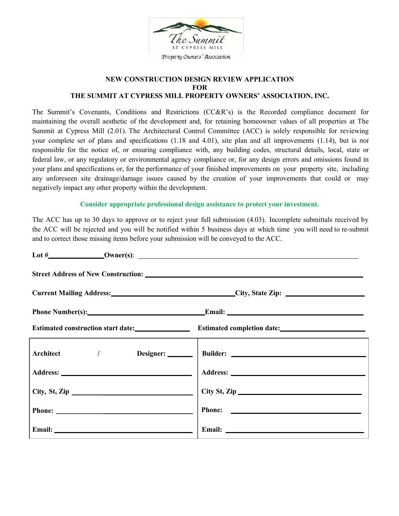

### **NEW CONSTRUCTION DESIGN REVIEW APPLICATION FOR THE SUMMIT AT CYPRESS MILL PROPERTY OWNERS' ASSOCIATION, INC.**

The Summit's Covenants, Conditions and Restrictions (CC&R's) is the Recorded compliance document for maintaining the overall aesthetic of the development and, for retaining homeowner values of all properties at The Summit at Cypress Mill (2.01). The Architectural Control Committee (ACC) is solely responsible for reviewing your complete set of plans and specifications (1.18 and 4.01), site plan and all improvements (1.14), but is *not*  responsible for the notice of, or ensuring compliance with, any building codes, structural details, local, state or federal law, or any regulatory or environmental agency compliance or, for any design errors and omissions found in your plans and specifications or, for the performance of your finished improvements on your property site, including any unforeseen site drainage/damage issues caused by the creation of your improvements that could or may negatively impact any other property within the development.

### **Consider appropriate professional design assistance to protect your investment.**

The ACC has up to 30 days to approve or to reject your full submission (4.03). Incomplete submittals received by the ACC will be rejected and you will be notified within 5 business days at which time you will need to re-submit and to correct those missing items before your submission will be conveyed to the ACC.

|                                | Current Mailing Address: City, State Zip:                     |  |  |  |
|--------------------------------|---------------------------------------------------------------|--|--|--|
| Phone Number(s): Email: Email: |                                                               |  |  |  |
|                                | Estimated construction start date: Estimated completion date: |  |  |  |
|                                |                                                               |  |  |  |
|                                |                                                               |  |  |  |
| $City, St, Zip \_$             |                                                               |  |  |  |
|                                |                                                               |  |  |  |
|                                |                                                               |  |  |  |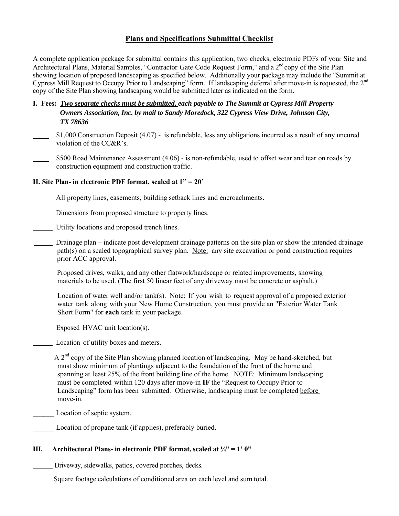## **Plans and Specifications Submittal Checklist**

A complete application package for submittal contains this application, two checks, electronic PDFs of your Site and Architectural Plans, Material Samples, "Contractor Gate Code Request Form," and a 2<sup>nd</sup> copy of the Site Plan showing location of proposed landscaping as specified below. Additionally your package may include the "Summit at Cypress Mill Request to Occupy Prior to Landscaping" form. If landscaping deferral after move-in is requested, the 2nd copy of the Site Plan showing landscaping would be submitted later as indicated on the form.

- **I. Fees:** *Two separate checks must be submitted, each payable to The Summit at Cypress Mill Property Owners Association, Inc. by mail to Sandy Moredock, 322 Cypress View Drive, Johnson City, TX 78636*
- \$1,000 Construction Deposit (4.07) is refundable, less any obligations incurred as a result of any uncured violation of the CC&R's.
	- \$500 Road Maintenance Assessment (4.06) is non-refundable, used to offset wear and tear on roads by construction equipment and construction traffic.

### **II. Site Plan- in electronic PDF format, scaled at 1" = 20'**

- All property lines, easements, building setback lines and encroachments.
- Dimensions from proposed structure to property lines.
- Utility locations and proposed trench lines.
- Drainage plan indicate post development drainage patterns on the site plan or show the intended drainage path(s) on a scaled topographical survey plan. Note: any site excavation or pond construction requires prior ACC approval.
- Proposed drives, walks, and any other flatwork/hardscape or related improvements, showing materials to be used. (The first 50 linear feet of any driveway must be concrete or asphalt.)
- Location of water well and/or tank(s). Note: If you wish to request approval of a proposed exterior water tank along with your New Home Construction, you must provide an "Exterior Water Tank Short Form" for **each** tank in your package.
- Exposed HVAC unit location(s).
- Location of utility boxes and meters.
- A  $2<sup>nd</sup>$  copy of the Site Plan showing planned location of landscaping. May be hand-sketched, but must show minimum of plantings adjacent to the foundation of the front of the home and spanning at least 25% of the front building line of the home. NOTE: Minimum landscaping must be completed within 120 days after move-in **IF** the "Request to Occupy Prior to Landscaping" form has been submitted. Otherwise, landscaping must be completed before move-in.
- Location of septic system.
	- Location of propane tank (if applies), preferably buried.

### **III. Architectural Plans- in electronic PDF format, scaled at**  $\frac{1}{4}$  **= 1' 0"**

Driveway, sidewalks, patios, covered porches, decks.

Square footage calculations of conditioned area on each level and sum total.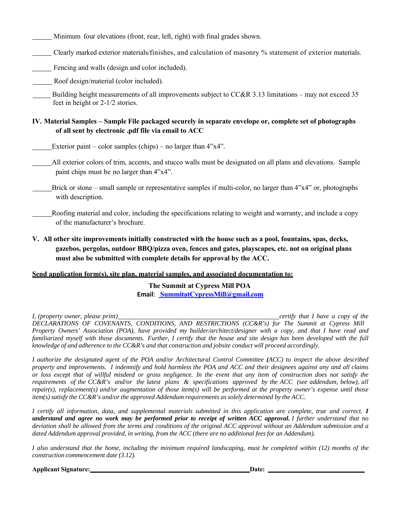Minimum four elevations (front, rear, left, right) with final grades shown.

Clearly marked exterior materials/finishes, and calculation of masonry % statement of exterior materials.

Fencing and walls (design and color included).

Roof design/material (color included).

 Building height measurements of all improvements subject to CC&R 3.13 limitations – may not exceed 35 feet in height or 2-1/2 stories.

### **IV. Material Samples – Sample File packaged securely in separate envelope or, complete set of photographs of all sent by electronic .pdf file via email to ACC**

Exterior paint – color samples (chips) – no larger than  $4"x4"$ .

 All exterior colors of trim, accents, and stucco walls must be designated on all plans and elevations. Sample paint chips must be no larger than 4"x4".

 Brick or stone – small sample or representative samples if multi-color, no larger than 4"x4" or, photographs with description.

 Roofing material and color, including the specifications relating to weight and warranty, and include a copy of the manufacturer's brochure.

## **V. All other site improvements initially constructed with the house such as a pool, fountains, spas, decks, gazebos, pergolas, outdoor BBQ/pizza oven, fences and gates, playscapes, etc. not on original plans must also be submitted with complete details for approval by the ACC.**

### **Send application form(s), site plan, material samples, and associated documentation to:**

**The Summit at Cypress Mill POA Email**: **SummitatCypressMill@gmail.com**

*I, (property owner, please print) certify that I have a copy of the DECLARATIONS OF COVENANTS, CONDITIONS, AND RESTRICTIONS (CC&R's) for The Summit at Cypress Mill Property Owners' Association (POA), have provided my builder/architect/designer with a copy, and that I have read and* familiarized myself with those documents. Further, I certify that the house and site design has been developed with the full *knowledge of and adherence to the CC&R's and that construction and jobsite conduct will proceed accordingly.*

*I authorize the designated agent of the POA and/or Architectural Control Committee (ACC) to inspect the above described property and improvements. I indemnify and hold harmless the POA and ACC and their designees against any and all claims or loss except that of willful misdeed or gross negligence. In the event that any item of construction does not satisfy the requirements of the CC&R's and/or the latest plans & specifications approved by the ACC (see addendum, below), all repair(s), replacement(s) and/or augmentation of those item(s) will be performed at the property owner's expense until those item(s) satisfy the CC&R's and/or the approved Addendum requirements as solely determined by the ACC.*

*I certify all information, data, and supplemental materials submitted in this application are complete, true and correct. I understand and agree no work may be performed prior to receipt of written ACC approval. I further understand that no deviation shall be allowed from the terms and conditions of the original ACC approval without an Addendum submission and a dated Addendum approval provided, in writing, from the ACC (there are no additional fees for an Addendum).*

*I also understand that the home, including the minimum required landscaping, must be completed within (12) months of the construction commencement date (3.12).*

**Applicant Signature:** Date: 2014. Date: 2014. Date: 2014. Date: 2014. Date: 2014. Date: 2014. Date: 2014. Date: 2014. Date: 2014. Date: 2014. Date: 2014. Date: 2014. Date: 2014. Date: 2014. Date: 2014. Date: 2014. Date: 2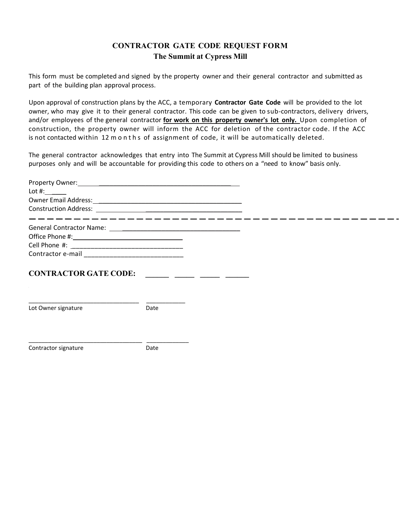# **CONTRACTOR GATE CODE REQUEST FORM The Summit at Cypress Mill**

This form must be completed and signed by the property owner and their general contractor and submitted as part of the building plan approval process.

Upon approval of construction plans by the ACC, a temporary **Contractor Gate Code**  will be provided to the lot owner, who may give it to their general contractor. This code can be given to sub-contractors, delivery drivers, and/or employees of the general contractor **for work on this property owner's lot only.**  Upon completion of construction, the property owner will inform the ACC for deletion of the contractor code. If the ACC is not contacted within 12 m o n t h s of assignment of code, it will be automatically deleted.

The general contractor acknowledges that entry into The Summit at Cypress Mill should be limited to business purposes only and will be accountable for providing this code to others on a "need to know" basis only.

| Lot #:                                                                                                                                               |      |  |  |
|------------------------------------------------------------------------------------------------------------------------------------------------------|------|--|--|
|                                                                                                                                                      |      |  |  |
| _________________________________                                                                                                                    |      |  |  |
|                                                                                                                                                      |      |  |  |
|                                                                                                                                                      |      |  |  |
|                                                                                                                                                      |      |  |  |
|                                                                                                                                                      |      |  |  |
| <b>CONTRACTOR GATE CODE:</b><br><u> 1989 - Johann John Stone, market fan it ferstjer fan it ferstjer fan it ferstjer fan it ferstjer fan it fers</u> |      |  |  |
| Lot Owner signature                                                                                                                                  | Date |  |  |
| Contractor signature                                                                                                                                 | Date |  |  |
|                                                                                                                                                      |      |  |  |